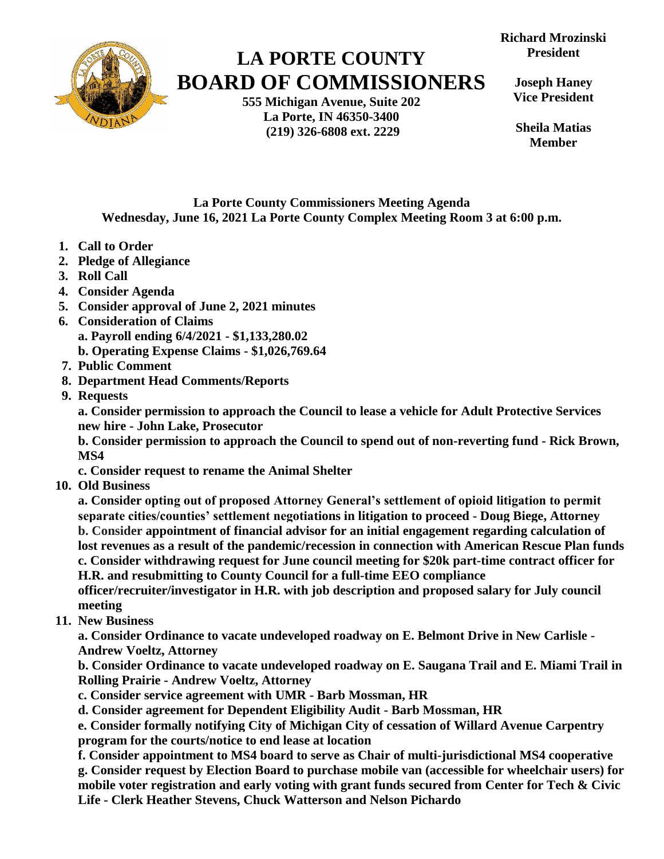

## **LA PORTE COUNTY BOARD OF COMMISSIONERS**

**555 Michigan Avenue, Suite 202 La Porte, IN 46350-3400 (219) 326-6808 ext. 2229**

**Richard Mrozinski President**

**Joseph Haney Vice President**

**Sheila Matias Member**

**La Porte County Commissioners Meeting Agenda Wednesday, June 16, 2021 La Porte County Complex Meeting Room 3 at 6:00 p.m.**

- **1. Call to Order**
- **2. Pledge of Allegiance**
- **3. Roll Call**
- **4. Consider Agenda**
- **5. Consider approval of June 2, 2021 minutes**
- **6. Consideration of Claims a. Payroll ending 6/4/2021 - \$1,133,280.02**
	- **b. Operating Expense Claims - \$1,026,769.64**
- **7. Public Comment**
- **8. Department Head Comments/Reports**
- **9. Requests**

**a. Consider permission to approach the Council to lease a vehicle for Adult Protective Services new hire - John Lake, Prosecutor**

**b. Consider permission to approach the Council to spend out of non-reverting fund - Rick Brown, MS4**

**c. Consider request to rename the Animal Shelter**

 **10. Old Business**

**a. Consider opting out of proposed Attorney General's settlement of opioid litigation to permit separate cities/counties' settlement negotiations in litigation to proceed - Doug Biege, Attorney b. Consider appointment of financial advisor for an initial engagement regarding calculation of lost revenues as a result of the pandemic/recession in connection with American Rescue Plan funds c. Consider withdrawing request for June council meeting for \$20k part-time contract officer for H.R. and resubmitting to County Council for a full-time EEO compliance**

 **officer/recruiter/investigator in H.R. with job description and proposed salary for July council meeting**

 **11. New Business** 

**a. Consider Ordinance to vacate undeveloped roadway on E. Belmont Drive in New Carlisle - Andrew Voeltz, Attorney**

**b. Consider Ordinance to vacate undeveloped roadway on E. Saugana Trail and E. Miami Trail in Rolling Prairie - Andrew Voeltz, Attorney**

- **c. Consider service agreement with UMR - Barb Mossman, HR**
- **d. Consider agreement for Dependent Eligibility Audit - Barb Mossman, HR**

**e. Consider formally notifying City of Michigan City of cessation of Willard Avenue Carpentry program for the courts/notice to end lease at location**

**f. Consider appointment to MS4 board to serve as Chair of multi-jurisdictional MS4 cooperative g. Consider request by Election Board to purchase mobile van (accessible for wheelchair users) for mobile voter registration and early voting with grant funds secured from Center for Tech & Civic Life - Clerk Heather Stevens, Chuck Watterson and Nelson Pichardo**